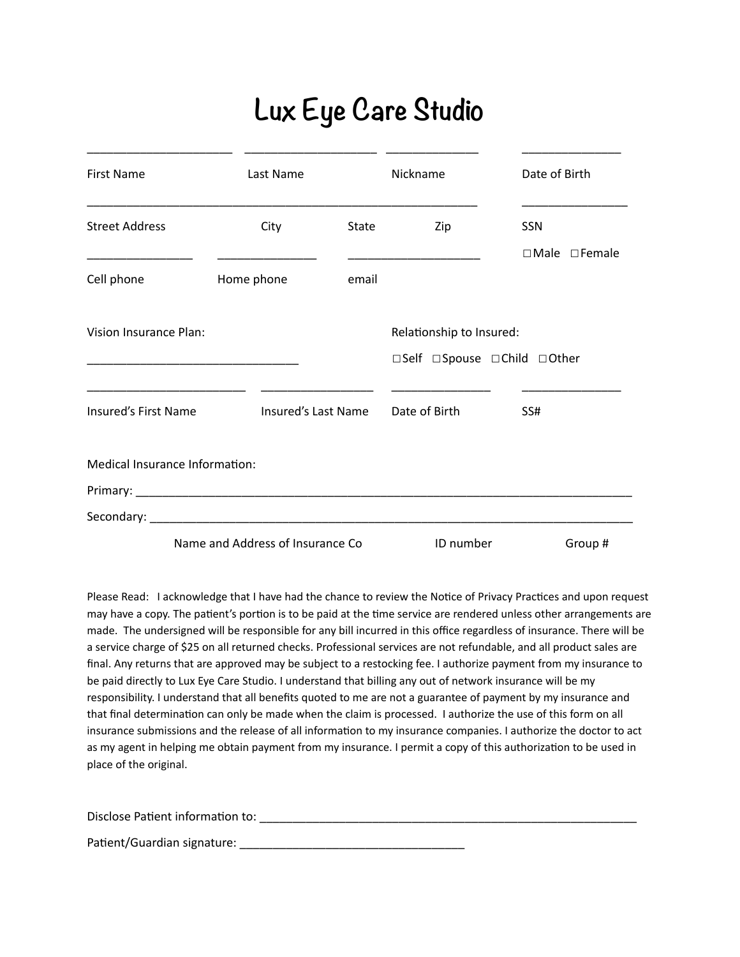## **Lux Eye Care Studio**

| <b>First Name</b>                                    | Last Name                         |       | Nickname                    | Date of Birth             |
|------------------------------------------------------|-----------------------------------|-------|-----------------------------|---------------------------|
| <b>Street Address</b>                                | City                              | State | Zip                         | <b>SSN</b>                |
| Cell phone                                           | Home phone                        | email |                             | $\Box$ Male $\Box$ Female |
| Vision Insurance Plan:                               |                                   |       | Relationship to Insured:    |                           |
| <u> 1989 - Johann John Stone, mars et al. (1989)</u> |                                   |       | □Self □Spouse □Child □Other |                           |
| Insured's First Name                                 | Insured's Last Name               |       | Date of Birth               | SS#                       |
| Medical Insurance Information:                       |                                   |       |                             |                           |
|                                                      |                                   |       |                             |                           |
|                                                      |                                   |       |                             |                           |
|                                                      | Name and Address of Insurance Co. |       | ID number                   | Group #                   |

Please Read: I acknowledge that I have had the chance to review the Notice of Privacy Practices and upon request may have a copy. The patient's portion is to be paid at the time service are rendered unless other arrangements are made. The undersigned will be responsible for any bill incurred in this office regardless of insurance. There will be a service charge of \$25 on all returned checks. Professional services are not refundable, and all product sales are final. Any returns that are approved may be subject to a restocking fee. I authorize payment from my insurance to be paid directly to Lux Eye Care Studio. I understand that billing any out of network insurance will be my responsibility. I understand that all benefits quoted to me are not a guarantee of payment by my insurance and that final determination can only be made when the claim is processed. I authorize the use of this form on all insurance submissions and the release of all information to my insurance companies. I authorize the doctor to act as my agent in helping me obtain payment from my insurance. I permit a copy of this authorization to be used in place of the original.

Disclose PaEent informaEon to: \_\_\_\_\_\_\_\_\_\_\_\_\_\_\_\_\_\_\_\_\_\_\_\_\_\_\_\_\_\_\_\_\_\_\_\_\_\_\_\_\_\_\_\_\_\_\_\_\_\_\_\_\_\_\_\_\_

PaEent/Guardian signature: \_\_\_\_\_\_\_\_\_\_\_\_\_\_\_\_\_\_\_\_\_\_\_\_\_\_\_\_\_\_\_\_\_\_